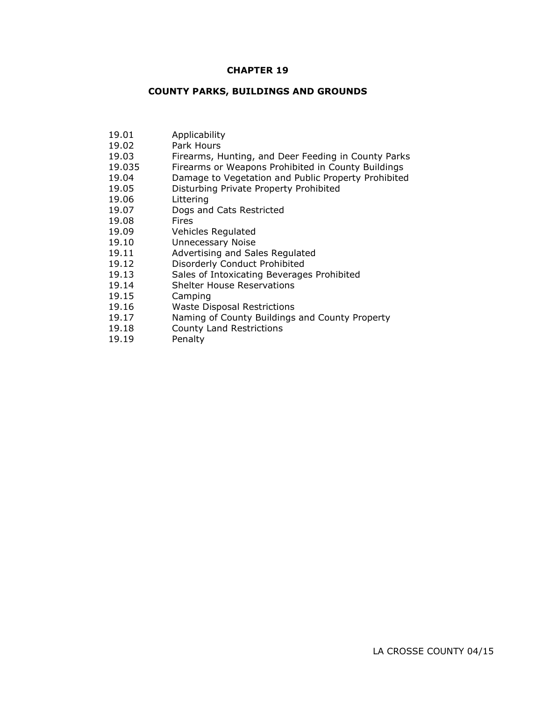## **CHAPTER 19**

## **COUNTY PARKS, BUILDINGS AND GROUNDS**

| 19.01  | Applicability                                       |
|--------|-----------------------------------------------------|
| 19.02  | Park Hours                                          |
| 19.03  | Firearms, Hunting, and Deer Feeding in County Parks |
| 19.035 | Firearms or Weapons Prohibited in County Buildings  |
| 19.04  | Damage to Vegetation and Public Property Prohibited |
| 19.05  | Disturbing Private Property Prohibited              |
| 19.06  | Littering                                           |
| 19.07  | Dogs and Cats Restricted                            |
| 19.08  | Fires                                               |
| 19.09  | Vehicles Regulated                                  |
| 19.10  | <b>Unnecessary Noise</b>                            |
| 19.11  | Advertising and Sales Regulated                     |
| 19.12  | Disorderly Conduct Prohibited                       |
| 19.13  | Sales of Intoxicating Beverages Prohibited          |
| 19.14  | <b>Shelter House Reservations</b>                   |
| 19.15  | Camping                                             |
| 19.16  | <b>Waste Disposal Restrictions</b>                  |
| 19.17  | Naming of County Buildings and County Property      |
| 19.18  | <b>County Land Restrictions</b>                     |
|        |                                                     |

19.19 Penalty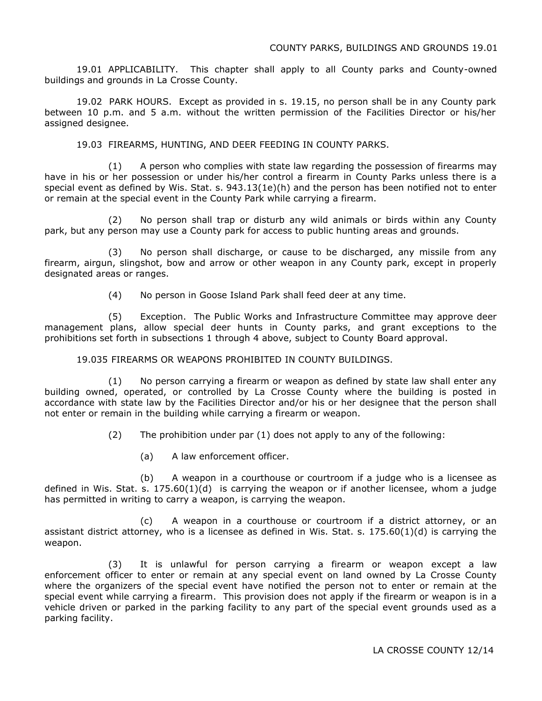19.01 APPLICABILITY. This chapter shall apply to all County parks and County-owned buildings and grounds in La Crosse County.

19.02 PARK HOURS. Except as provided in s. 19.15, no person shall be in any County park between 10 p.m. and 5 a.m. without the written permission of the Facilities Director or his/her assigned designee.

19.03 FIREARMS, HUNTING, AND DEER FEEDING IN COUNTY PARKS.

(1) A person who complies with state law regarding the possession of firearms may have in his or her possession or under his/her control a firearm in County Parks unless there is a special event as defined by Wis. Stat. s. 943.13(1e)(h) and the person has been notified not to enter or remain at the special event in the County Park while carrying a firearm.

(2) No person shall trap or disturb any wild animals or birds within any County park, but any person may use a County park for access to public hunting areas and grounds.

(3) No person shall discharge, or cause to be discharged, any missile from any firearm, airgun, slingshot, bow and arrow or other weapon in any County park, except in properly designated areas or ranges.

(4) No person in Goose Island Park shall feed deer at any time.

(5) Exception. The Public Works and Infrastructure Committee may approve deer management plans, allow special deer hunts in County parks, and grant exceptions to the prohibitions set forth in subsections 1 through 4 above, subject to County Board approval.

19.035 FIREARMS OR WEAPONS PROHIBITED IN COUNTY BUILDINGS.

(1) No person carrying a firearm or weapon as defined by state law shall enter any building owned, operated, or controlled by La Crosse County where the building is posted in accordance with state law by the Facilities Director and/or his or her designee that the person shall not enter or remain in the building while carrying a firearm or weapon.

(2) The prohibition under par (1) does not apply to any of the following:

(a) A law enforcement officer.

(b) A weapon in a courthouse or courtroom if a judge who is a licensee as defined in Wis. Stat. s.  $175.60(1)(d)$  is carrying the weapon or if another licensee, whom a judge has permitted in writing to carry a weapon, is carrying the weapon.

(c) A weapon in a courthouse or courtroom if a district attorney, or an assistant district attorney, who is a licensee as defined in Wis. Stat. s. 175.60(1)(d) is carrying the weapon.

(3) It is unlawful for person carrying a firearm or weapon except a law enforcement officer to enter or remain at any special event on land owned by La Crosse County where the organizers of the special event have notified the person not to enter or remain at the special event while carrying a firearm. This provision does not apply if the firearm or weapon is in a vehicle driven or parked in the parking facility to any part of the special event grounds used as a parking facility.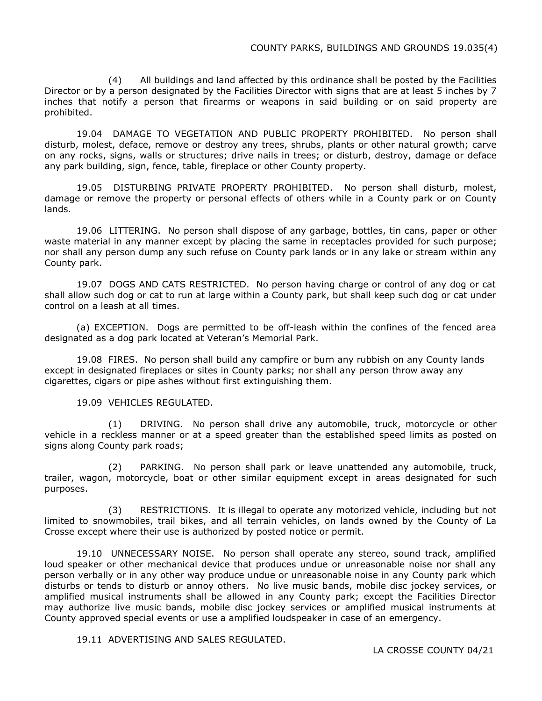(4) All buildings and land affected by this ordinance shall be posted by the Facilities Director or by a person designated by the Facilities Director with signs that are at least 5 inches by 7 inches that notify a person that firearms or weapons in said building or on said property are prohibited.

19.04 DAMAGE TO VEGETATION AND PUBLIC PROPERTY PROHIBITED. No person shall disturb, molest, deface, remove or destroy any trees, shrubs, plants or other natural growth; carve on any rocks, signs, walls or structures; drive nails in trees; or disturb, destroy, damage or deface any park building, sign, fence, table, fireplace or other County property.

19.05 DISTURBING PRIVATE PROPERTY PROHIBITED. No person shall disturb, molest, damage or remove the property or personal effects of others while in a County park or on County lands.

19.06 LITTERING. No person shall dispose of any garbage, bottles, tin cans, paper or other waste material in any manner except by placing the same in receptacles provided for such purpose; nor shall any person dump any such refuse on County park lands or in any lake or stream within any County park.

19.07 DOGS AND CATS RESTRICTED. No person having charge or control of any dog or cat shall allow such dog or cat to run at large within a County park, but shall keep such dog or cat under control on a leash at all times.

(a) EXCEPTION. Dogs are permitted to be off-leash within the confines of the fenced area designated as a dog park located at Veteran's Memorial Park.

19.08 FIRES. No person shall build any campfire or burn any rubbish on any County lands except in designated fireplaces or sites in County parks; nor shall any person throw away any cigarettes, cigars or pipe ashes without first extinguishing them.

19.09 VEHICLES REGULATED.

(1) DRIVING. No person shall drive any automobile, truck, motorcycle or other vehicle in a reckless manner or at a speed greater than the established speed limits as posted on signs along County park roads;

(2) PARKING. No person shall park or leave unattended any automobile, truck, trailer, wagon, motorcycle, boat or other similar equipment except in areas designated for such purposes.

(3) RESTRICTIONS. It is illegal to operate any motorized vehicle, including but not limited to snowmobiles, trail bikes, and all terrain vehicles, on lands owned by the County of La Crosse except where their use is authorized by posted notice or permit.

19.10 UNNECESSARY NOISE. No person shall operate any stereo, sound track, amplified loud speaker or other mechanical device that produces undue or unreasonable noise nor shall any person verbally or in any other way produce undue or unreasonable noise in any County park which disturbs or tends to disturb or annoy others. No live music bands, mobile disc jockey services, or amplified musical instruments shall be allowed in any County park; except the Facilities Director may authorize live music bands, mobile disc jockey services or amplified musical instruments at County approved special events or use a amplified loudspeaker in case of an emergency.

19.11 ADVERTISING AND SALES REGULATED.

LA CROSSE COUNTY 04/21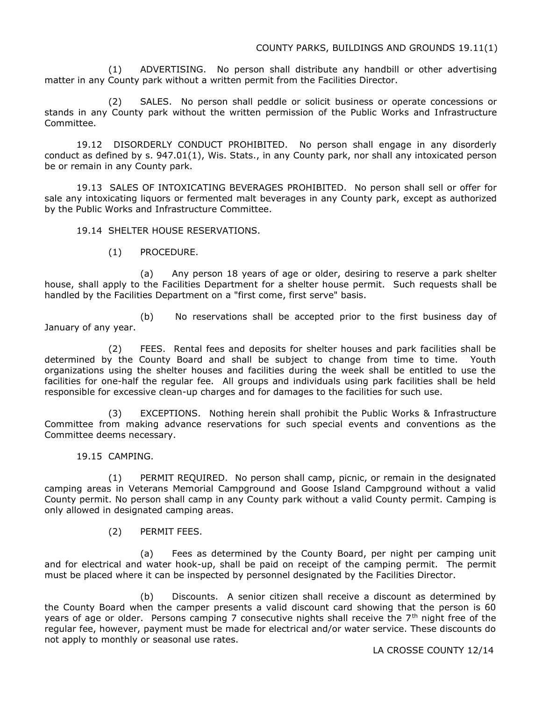(1) ADVERTISING. No person shall distribute any handbill or other advertising matter in any County park without a written permit from the Facilities Director.

(2) SALES. No person shall peddle or solicit business or operate concessions or stands in any County park without the written permission of the Public Works and Infrastructure Committee.

19.12 DISORDERLY CONDUCT PROHIBITED. No person shall engage in any disorderly conduct as defined by s. 947.01(1), Wis. Stats., in any County park, nor shall any intoxicated person be or remain in any County park.

19.13 SALES OF INTOXICATING BEVERAGES PROHIBITED. No person shall sell or offer for sale any intoxicating liquors or fermented malt beverages in any County park, except as authorized by the Public Works and Infrastructure Committee.

19.14 SHELTER HOUSE RESERVATIONS.

(1) PROCEDURE.

(a) Any person 18 years of age or older, desiring to reserve a park shelter house, shall apply to the Facilities Department for a shelter house permit. Such requests shall be handled by the Facilities Department on a "first come, first serve" basis.

(b) No reservations shall be accepted prior to the first business day of January of any year.

(2) FEES. Rental fees and deposits for shelter houses and park facilities shall be determined by the County Board and shall be subject to change from time to time. Youth organizations using the shelter houses and facilities during the week shall be entitled to use the facilities for one-half the regular fee. All groups and individuals using park facilities shall be held responsible for excessive clean-up charges and for damages to the facilities for such use.

(3) EXCEPTIONS. Nothing herein shall prohibit the Public Works & Infrastructure Committee from making advance reservations for such special events and conventions as the Committee deems necessary.

19.15 CAMPING.

(1) PERMIT REQUIRED. No person shall camp, picnic, or remain in the designated camping areas in Veterans Memorial Campground and Goose Island Campground without a valid County permit. No person shall camp in any County park without a valid County permit. Camping is only allowed in designated camping areas.

(2) PERMIT FEES.

(a) Fees as determined by the County Board, per night per camping unit and for electrical and water hook-up, shall be paid on receipt of the camping permit. The permit must be placed where it can be inspected by personnel designated by the Facilities Director.

(b) Discounts. A senior citizen shall receive a discount as determined by the County Board when the camper presents a valid discount card showing that the person is 60 years of age or older. Persons camping 7 consecutive nights shall receive the  $7<sup>th</sup>$  night free of the regular fee, however, payment must be made for electrical and/or water service. These discounts do not apply to monthly or seasonal use rates.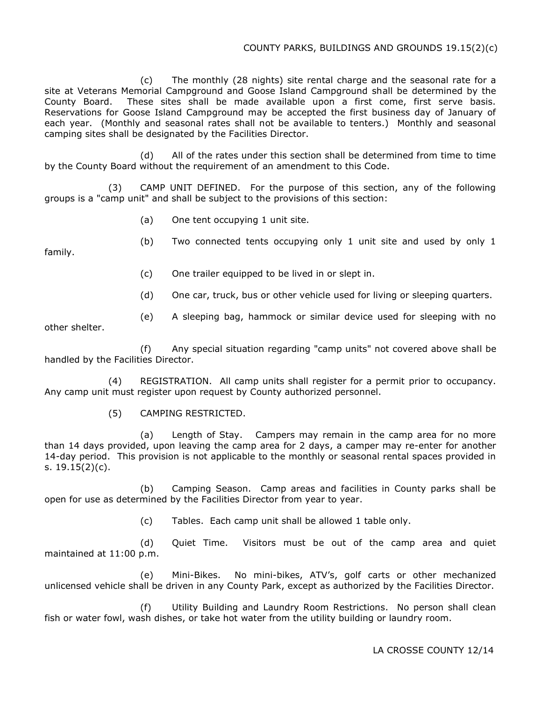(c) The monthly (28 nights) site rental charge and the seasonal rate for a site at Veterans Memorial Campground and Goose Island Campground shall be determined by the County Board. These sites shall be made available upon a first come, first serve basis. Reservations for Goose Island Campground may be accepted the first business day of January of each year. (Monthly and seasonal rates shall not be available to tenters.) Monthly and seasonal camping sites shall be designated by the Facilities Director.

(d) All of the rates under this section shall be determined from time to time by the County Board without the requirement of an amendment to this Code.

(3) CAMP UNIT DEFINED. For the purpose of this section, any of the following groups is a "camp unit" and shall be subject to the provisions of this section:

- (a) One tent occupying 1 unit site.
- (b) Two connected tents occupying only 1 unit site and used by only 1

family.

- (c) One trailer equipped to be lived in or slept in.
- (d) One car, truck, bus or other vehicle used for living or sleeping quarters.
- (e) A sleeping bag, hammock or similar device used for sleeping with no

other shelter.

(f) Any special situation regarding "camp units" not covered above shall be handled by the Facilities Director.

(4) REGISTRATION. All camp units shall register for a permit prior to occupancy. Any camp unit must register upon request by County authorized personnel.

(5) CAMPING RESTRICTED.

(a) Length of Stay. Campers may remain in the camp area for no more than 14 days provided, upon leaving the camp area for 2 days, a camper may re-enter for another 14-day period. This provision is not applicable to the monthly or seasonal rental spaces provided in s. 19.15(2)(c).

(b) Camping Season. Camp areas and facilities in County parks shall be open for use as determined by the Facilities Director from year to year.

(c) Tables. Each camp unit shall be allowed 1 table only.

(d) Quiet Time. Visitors must be out of the camp area and quiet maintained at 11:00 p.m.

(e) Mini-Bikes. No mini-bikes, ATV's, golf carts or other mechanized unlicensed vehicle shall be driven in any County Park, except as authorized by the Facilities Director.

(f) Utility Building and Laundry Room Restrictions. No person shall clean fish or water fowl, wash dishes, or take hot water from the utility building or laundry room.